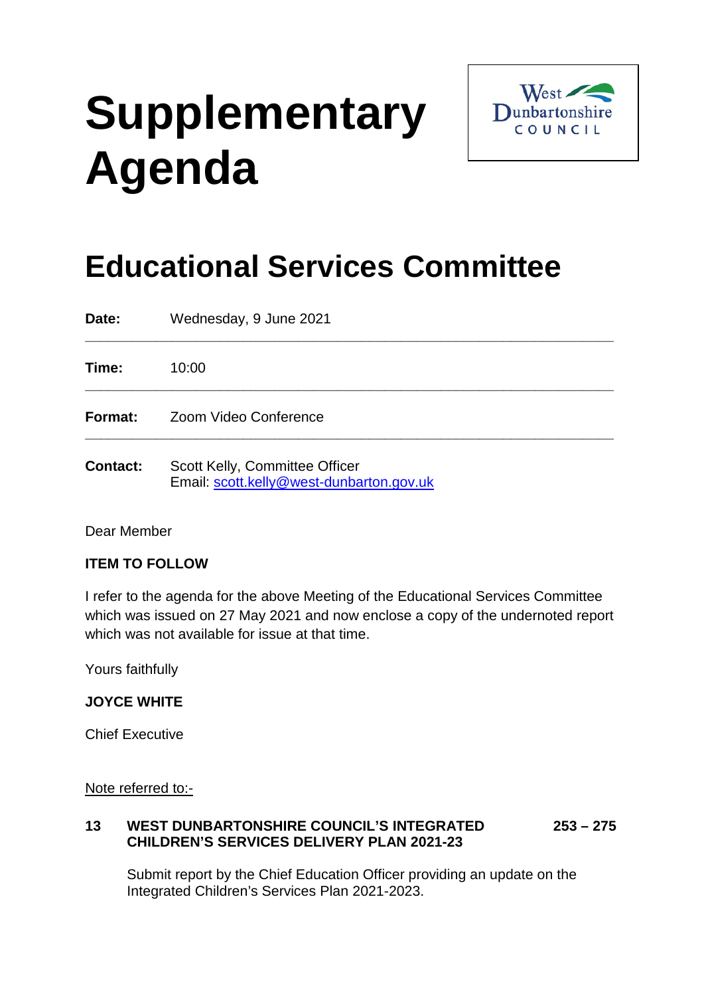# **Supplementary Agenda**



## **Educational Services Committee**

| Date:           | Wednesday, 9 June 2021                                                     |
|-----------------|----------------------------------------------------------------------------|
| Time:           | 10:00                                                                      |
| Format:         | Zoom Video Conference                                                      |
| <b>Contact:</b> | Scott Kelly, Committee Officer<br>Email: scott.kelly@west-dunbarton.gov.uk |

Dear Member

### **ITEM TO FOLLOW**

I refer to the agenda for the above Meeting of the Educational Services Committee which was issued on 27 May 2021 and now enclose a copy of the undernoted report which was not available for issue at that time.

Yours faithfully

### **JOYCE WHITE**

Chief Executive

Note referred to:-

#### **13 WEST DUNBARTONSHIRE COUNCIL'S INTEGRATED 253 – 275 CHILDREN'S SERVICES DELIVERY PLAN 2021-23**

Submit report by the Chief Education Officer providing an update on the Integrated Children's Services Plan 2021-2023.